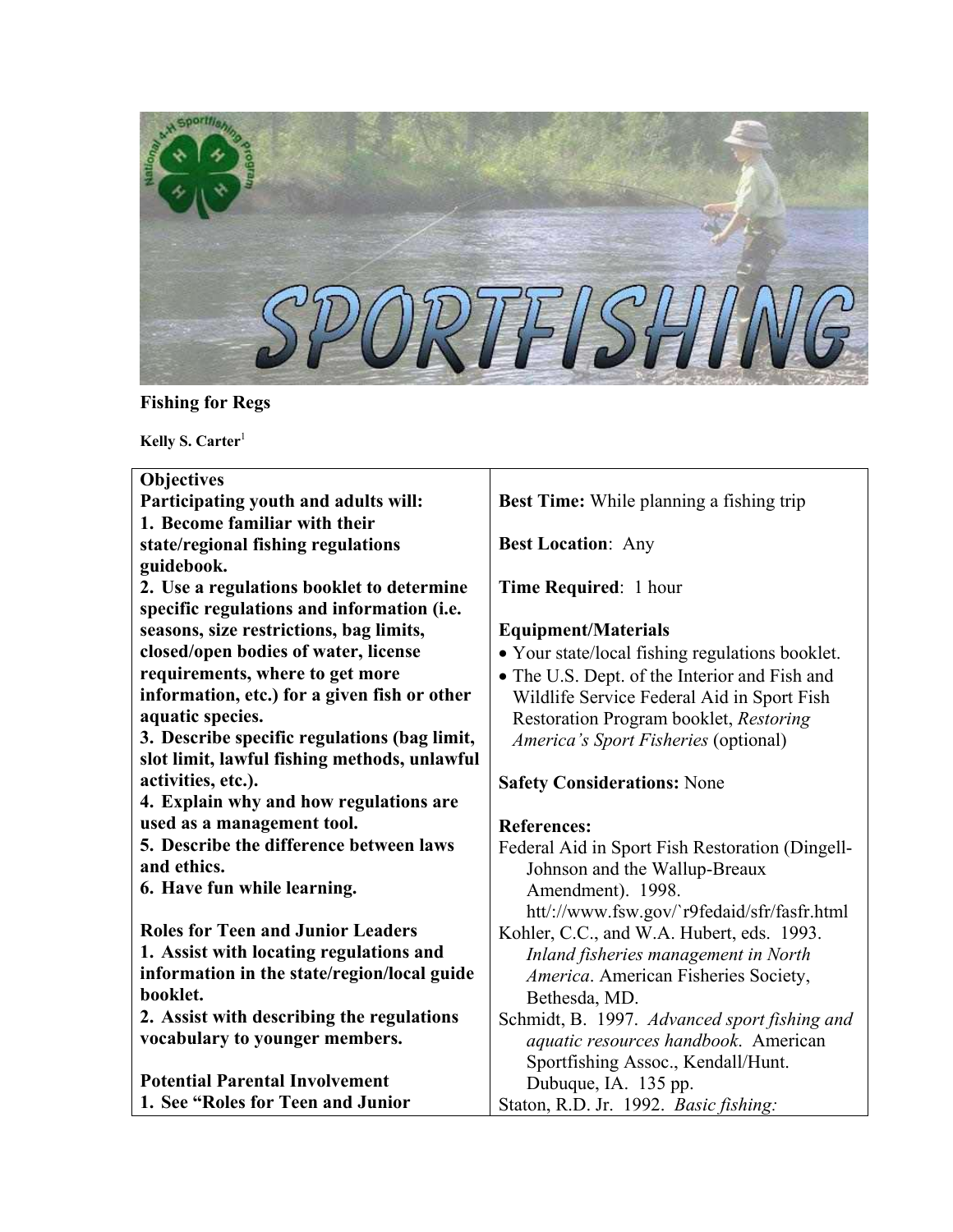

# **Fishing for Regs**

Kelly S. Carter<sup>1</sup>

| <b>Objectives</b>                            |                                                 |
|----------------------------------------------|-------------------------------------------------|
| Participating youth and adults will:         | Best Time: While planning a fishing trip        |
| 1. Become familiar with their                |                                                 |
| state/regional fishing regulations           | <b>Best Location: Any</b>                       |
| guidebook.                                   |                                                 |
| 2. Use a regulations booklet to determine    | Time Required: 1 hour                           |
| specific regulations and information (i.e.   |                                                 |
| seasons, size restrictions, bag limits,      | <b>Equipment/Materials</b>                      |
| closed/open bodies of water, license         | • Your state/local fishing regulations booklet. |
| requirements, where to get more              | • The U.S. Dept. of the Interior and Fish and   |
| information, etc.) for a given fish or other | Wildlife Service Federal Aid in Sport Fish      |
| aquatic species.                             | Restoration Program booklet, Restoring          |
| 3. Describe specific regulations (bag limit, | America's Sport Fisheries (optional)            |
| slot limit, lawful fishing methods, unlawful |                                                 |
| activities, etc.).                           | <b>Safety Considerations: None</b>              |
| 4. Explain why and how regulations are       |                                                 |
| used as a management tool.                   | <b>References:</b>                              |
| 5. Describe the difference between laws      | Federal Aid in Sport Fish Restoration (Dingell- |
| and ethics.                                  | Johnson and the Wallup-Breaux                   |
| 6. Have fun while learning.                  | Amendment). 1998.                               |
|                                              | htt/://www.fsw.gov/`r9fedaid/sfr/fasfr.html     |
| <b>Roles for Teen and Junior Leaders</b>     | Kohler, C.C., and W.A. Hubert, eds. 1993.       |
| 1. Assist with locating regulations and      | Inland fisheries management in North            |
| information in the state/region/local guide  | America. American Fisheries Society,            |
| booklet.                                     | Bethesda, MD.                                   |
| 2. Assist with describing the regulations    | Schmidt, B. 1997. Advanced sport fishing and    |
| vocabulary to younger members.               | aquatic resources handbook. American            |
| <b>Potential Parental Involvement</b>        | Sportfishing Assoc., Kendall/Hunt.              |
|                                              | Dubuque, IA. 135 pp.                            |
| 1. See "Roles for Teen and Junior"           | Staton, R.D. Jr. 1992. Basic fishing:           |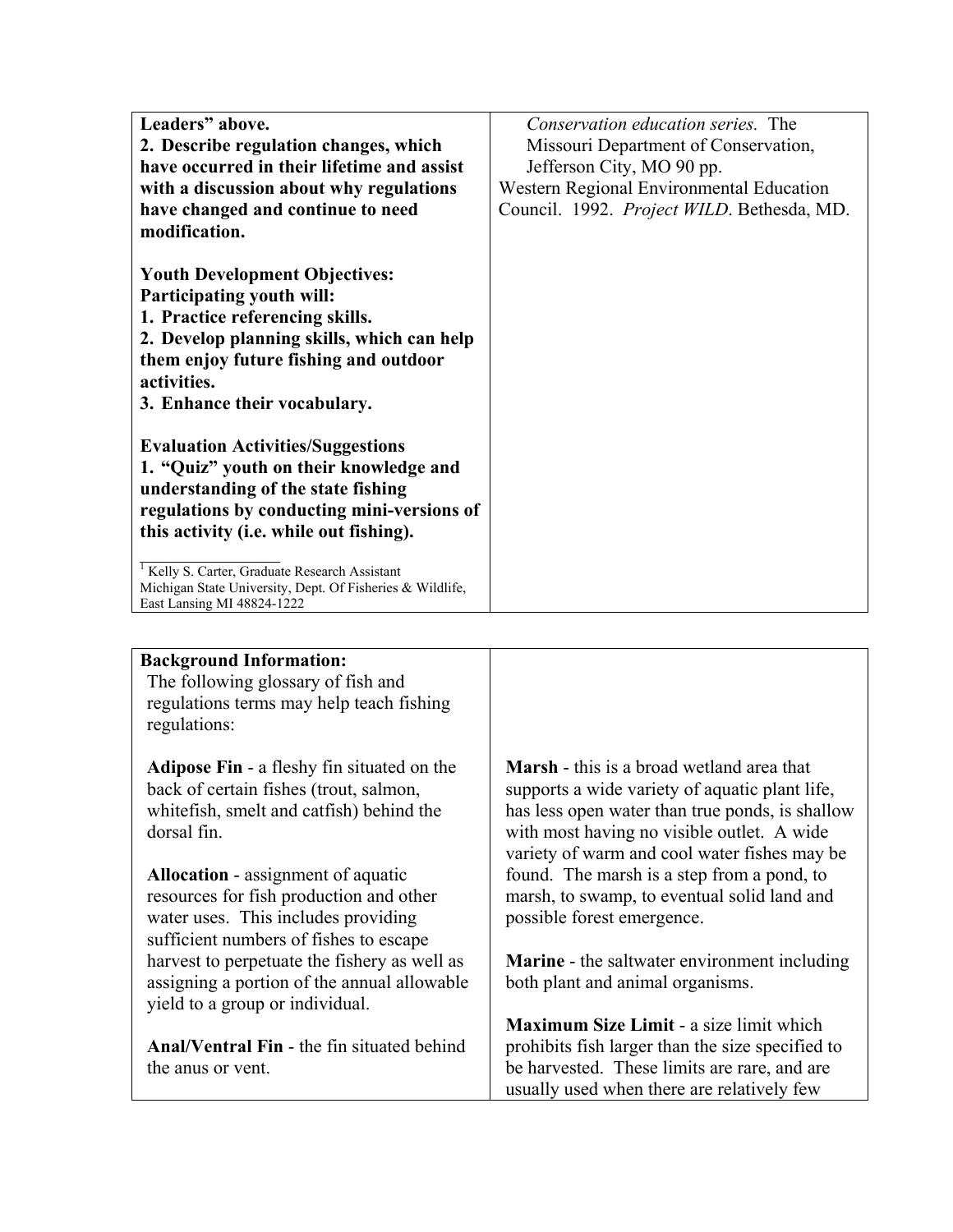| Leaders" above.                                                                                                                                                                                                                            | Conservation education series. The         |
|--------------------------------------------------------------------------------------------------------------------------------------------------------------------------------------------------------------------------------------------|--------------------------------------------|
| 2. Describe regulation changes, which                                                                                                                                                                                                      | Missouri Department of Conservation,       |
| have occurred in their lifetime and assist                                                                                                                                                                                                 | Jefferson City, MO 90 pp.                  |
| with a discussion about why regulations                                                                                                                                                                                                    | Western Regional Environmental Education   |
| have changed and continue to need                                                                                                                                                                                                          | Council. 1992. Project WILD. Bethesda, MD. |
| modification.                                                                                                                                                                                                                              |                                            |
| <b>Youth Development Objectives:</b><br>Participating youth will:<br>1. Practice referencing skills.<br>2. Develop planning skills, which can help<br>them enjoy future fishing and outdoor<br>activities.<br>3. Enhance their vocabulary. |                                            |
| <b>Evaluation Activities/Suggestions</b><br>1. "Quiz" youth on their knowledge and<br>understanding of the state fishing<br>regulations by conducting mini-versions of<br>this activity (i.e. while out fishing).                          |                                            |
| <sup>1</sup> Kelly S. Carter, Graduate Research Assistant<br>Michigan State University, Dept. Of Fisheries & Wildlife,<br>East Lansing MI 48824-1222                                                                                       |                                            |

| <b>Background Information:</b><br>The following glossary of fish and<br>regulations terms may help teach fishing<br>regulations:                                      |                                                                                                                                                                                                                                                     |
|-----------------------------------------------------------------------------------------------------------------------------------------------------------------------|-----------------------------------------------------------------------------------------------------------------------------------------------------------------------------------------------------------------------------------------------------|
| <b>Adipose Fin</b> - a fleshy fin situated on the<br>back of certain fishes (trout, salmon,<br>white fish, smelt and catfish) behind the<br>dorsal fin.               | <b>Marsh</b> - this is a broad wetland area that<br>supports a wide variety of aquatic plant life,<br>has less open water than true ponds, is shallow<br>with most having no visible outlet. A wide<br>variety of warm and cool water fishes may be |
| <b>Allocation</b> - assignment of aquatic<br>resources for fish production and other<br>water uses. This includes providing<br>sufficient numbers of fishes to escape | found. The marsh is a step from a pond, to<br>marsh, to swamp, to eventual solid land and<br>possible forest emergence.                                                                                                                             |
| harvest to perpetuate the fishery as well as<br>assigning a portion of the annual allowable<br>yield to a group or individual.                                        | <b>Marine</b> - the saltwater environment including<br>both plant and animal organisms.                                                                                                                                                             |
| Anal/Ventral Fin - the fin situated behind<br>the anus or vent.                                                                                                       | <b>Maximum Size Limit - a size limit which</b><br>prohibits fish larger than the size specified to<br>be harvested. These limits are rare, and are<br>usually used when there are relatively few                                                    |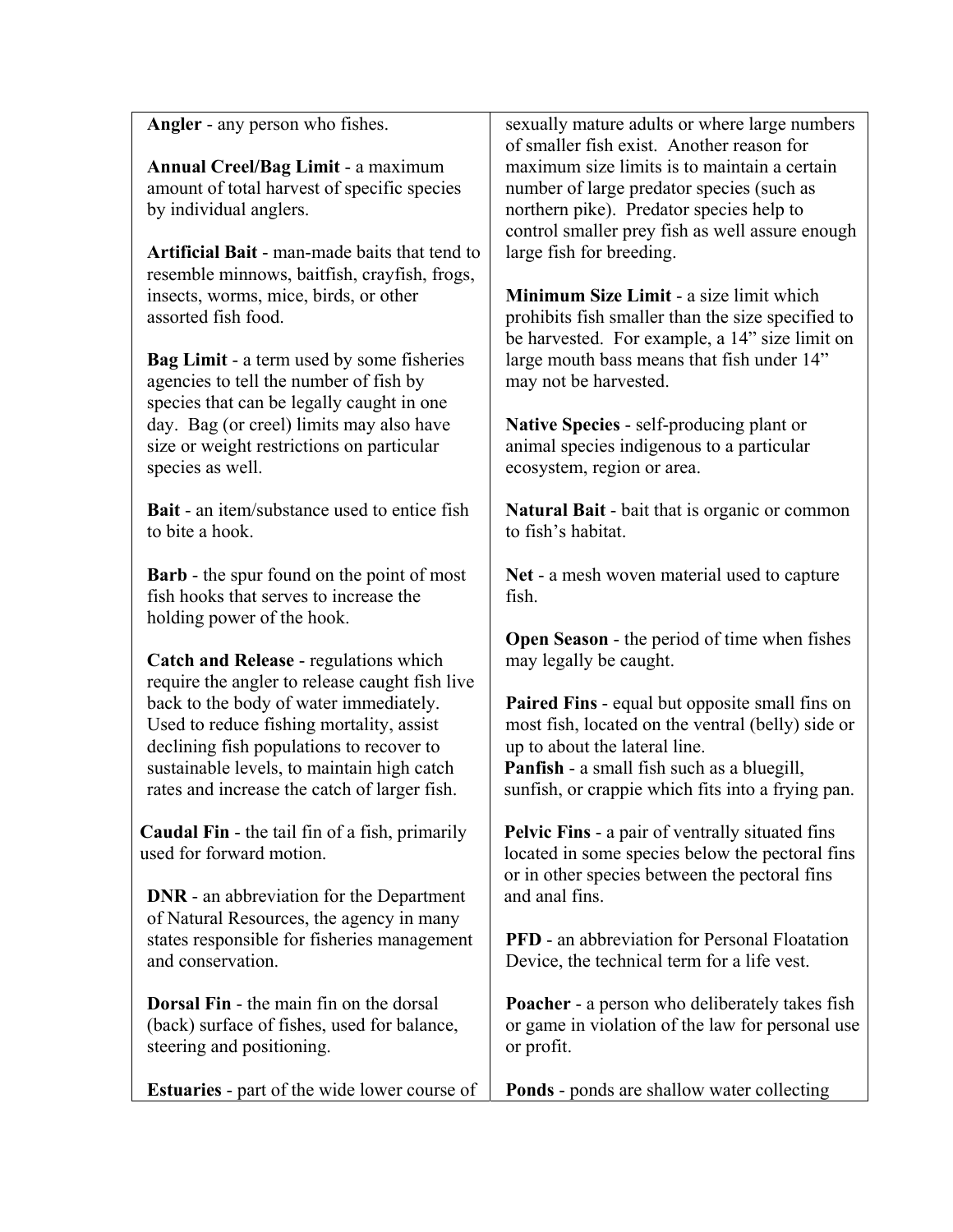| <b>Angler</b> - any person who fishes.                                                 | sexually mature adults or where large numbers<br>of smaller fish exist. Another reason for                |
|----------------------------------------------------------------------------------------|-----------------------------------------------------------------------------------------------------------|
| <b>Annual Creel/Bag Limit - a maximum</b>                                              | maximum size limits is to maintain a certain                                                              |
| amount of total harvest of specific species                                            | number of large predator species (such as                                                                 |
| by individual anglers.                                                                 | northern pike). Predator species help to                                                                  |
|                                                                                        | control smaller prey fish as well assure enough                                                           |
| <b>Artificial Bait - man-made baits that tend to</b>                                   | large fish for breeding.                                                                                  |
| resemble minnows, baitfish, crayfish, frogs,                                           |                                                                                                           |
| insects, worms, mice, birds, or other                                                  | <b>Minimum Size Limit - a size limit which</b>                                                            |
| assorted fish food.                                                                    | prohibits fish smaller than the size specified to                                                         |
|                                                                                        | be harvested. For example, a 14" size limit on                                                            |
| <b>Bag Limit - a term used by some fisheries</b>                                       | large mouth bass means that fish under 14"                                                                |
| agencies to tell the number of fish by                                                 | may not be harvested.                                                                                     |
| species that can be legally caught in one                                              |                                                                                                           |
| day. Bag (or creel) limits may also have                                               | Native Species - self-producing plant or                                                                  |
| size or weight restrictions on particular                                              | animal species indigenous to a particular                                                                 |
| species as well.                                                                       | ecosystem, region or area.                                                                                |
| <b>Bait</b> - an item/substance used to entice fish                                    | <b>Natural Bait</b> - bait that is organic or common                                                      |
| to bite a hook.                                                                        | to fish's habitat.                                                                                        |
|                                                                                        |                                                                                                           |
| Barb - the spur found on the point of most                                             | Net - a mesh woven material used to capture                                                               |
| fish hooks that serves to increase the                                                 | fish.                                                                                                     |
| holding power of the hook.                                                             |                                                                                                           |
|                                                                                        | <b>Open Season</b> - the period of time when fishes                                                       |
| Catch and Release - regulations which                                                  | may legally be caught.                                                                                    |
| require the angler to release caught fish live                                         |                                                                                                           |
| back to the body of water immediately.                                                 | <b>Paired Fins - equal but opposite small fins on</b>                                                     |
| Used to reduce fishing mortality, assist                                               | most fish, located on the ventral (belly) side or<br>up to about the lateral line.                        |
| declining fish populations to recover to<br>sustainable levels, to maintain high catch | <b>Panfish</b> - a small fish such as a bluegill,                                                         |
| rates and increase the catch of larger fish.                                           | sunfish, or crappie which fits into a frying pan.                                                         |
|                                                                                        |                                                                                                           |
| <b>Caudal Fin</b> - the tail fin of a fish, primarily                                  | <b>Pelvic Fins - a pair of ventrally situated fins</b>                                                    |
| used for forward motion.                                                               | located in some species below the pectoral fins                                                           |
|                                                                                        | or in other species between the pectoral fins                                                             |
| <b>DNR</b> - an abbreviation for the Department                                        | and anal fins.                                                                                            |
| of Natural Resources, the agency in many                                               |                                                                                                           |
| states responsible for fisheries management                                            | <b>PFD</b> - an abbreviation for Personal Floatation                                                      |
| and conservation.                                                                      | Device, the technical term for a life vest.                                                               |
| <b>Dorsal Fin</b> - the main fin on the dorsal                                         |                                                                                                           |
| (back) surface of fishes, used for balance,                                            | <b>Poacher</b> - a person who deliberately takes fish<br>or game in violation of the law for personal use |
| steering and positioning.                                                              | or profit.                                                                                                |
|                                                                                        |                                                                                                           |
| <b>Estuaries</b> - part of the wide lower course of                                    | Ponds - ponds are shallow water collecting                                                                |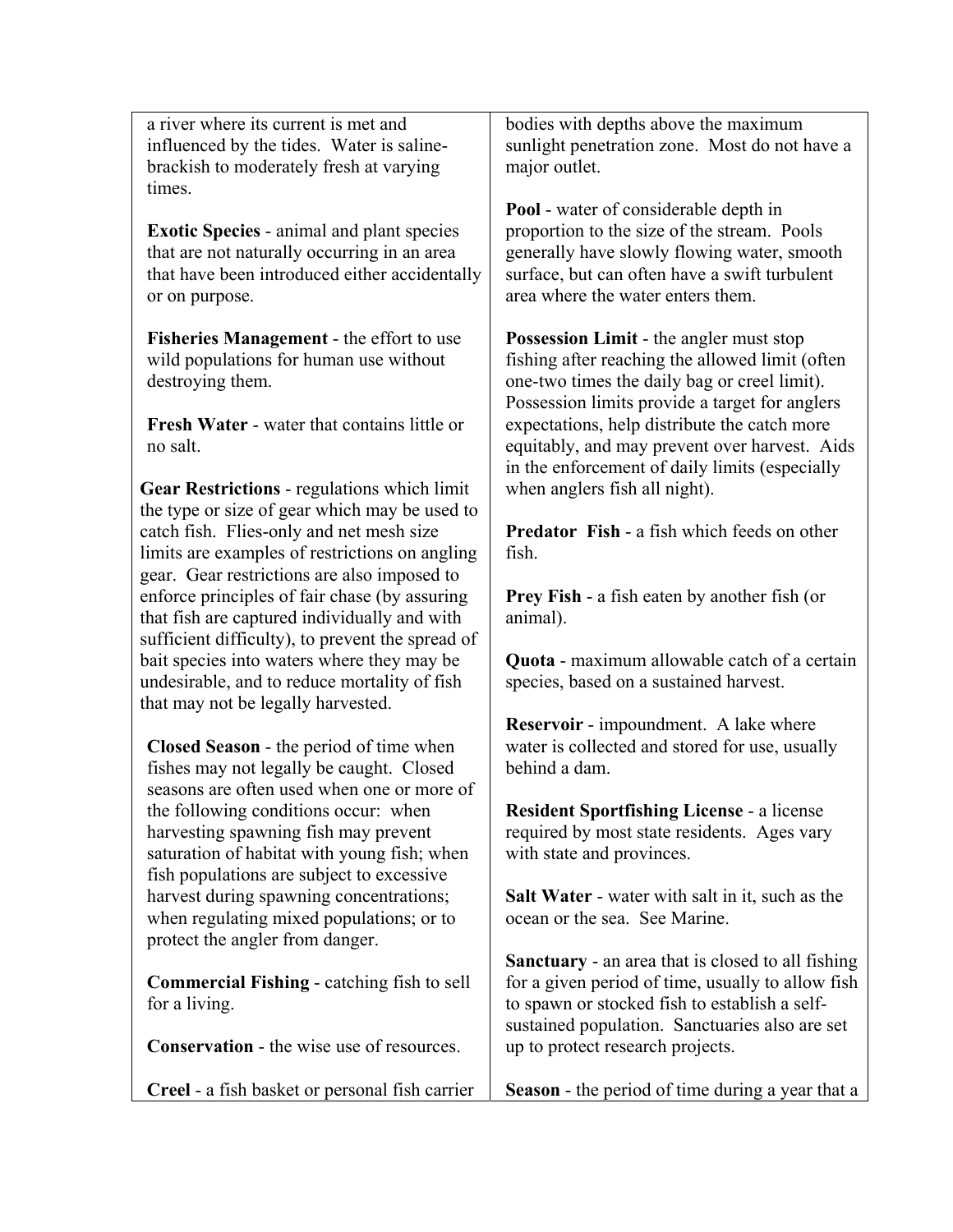a river where its current is met and influenced by the tides. Water is salinebrackish to moderately fresh at varying times.

**Exotic Species** - animal and plant species that are not naturally occurring in an area that have been introduced either accidentally or on purpose.

**Fisheries Management** - the effort to use wild populations for human use without destroying them.

**Fresh Water** - water that contains little or no salt.

**Gear Restrictions** - regulations which limit the type or size of gear which may be used to catch fish. Flies-only and net mesh size limits are examples of restrictions on angling gear. Gear restrictions are also imposed to enforce principles of fair chase (by assuring that fish are captured individually and with sufficient difficulty), to prevent the spread of bait species into waters where they may be undesirable, and to reduce mortality of fish that may not be legally harvested.

**Closed Season** - the period of time when fishes may not legally be caught. Closed seasons are often used when one or more of the following conditions occur: when harvesting spawning fish may prevent saturation of habitat with young fish; when fish populations are subject to excessive harvest during spawning concentrations; when regulating mixed populations; or to protect the angler from danger.

**Commercial Fishing** - catching fish to sell for a living.

**Conservation** - the wise use of resources.

**Creel** - a fish basket or personal fish carrier

bodies with depths above the maximum sunlight penetration zone. Most do not have a major outlet.

**Pool** - water of considerable depth in proportion to the size of the stream. Pools generally have slowly flowing water, smooth surface, but can often have a swift turbulent area where the water enters them.

**Possession Limit** - the angler must stop fishing after reaching the allowed limit (often one-two times the daily bag or creel limit). Possession limits provide a target for anglers expectations, help distribute the catch more equitably, and may prevent over harvest. Aids in the enforcement of daily limits (especially when anglers fish all night).

**Predator Fish** - a fish which feeds on other fish.

**Prey Fish** - a fish eaten by another fish (or animal).

**Quota** - maximum allowable catch of a certain species, based on a sustained harvest.

**Reservoir** - impoundment. A lake where water is collected and stored for use, usually behind a dam.

**Resident Sportfishing License** - a license required by most state residents. Ages vary with state and provinces.

**Salt Water** - water with salt in it, such as the ocean or the sea. See Marine.

**Sanctuary** - an area that is closed to all fishing for a given period of time, usually to allow fish to spawn or stocked fish to establish a selfsustained population. Sanctuaries also are set up to protect research projects.

**Season** - the period of time during a year that a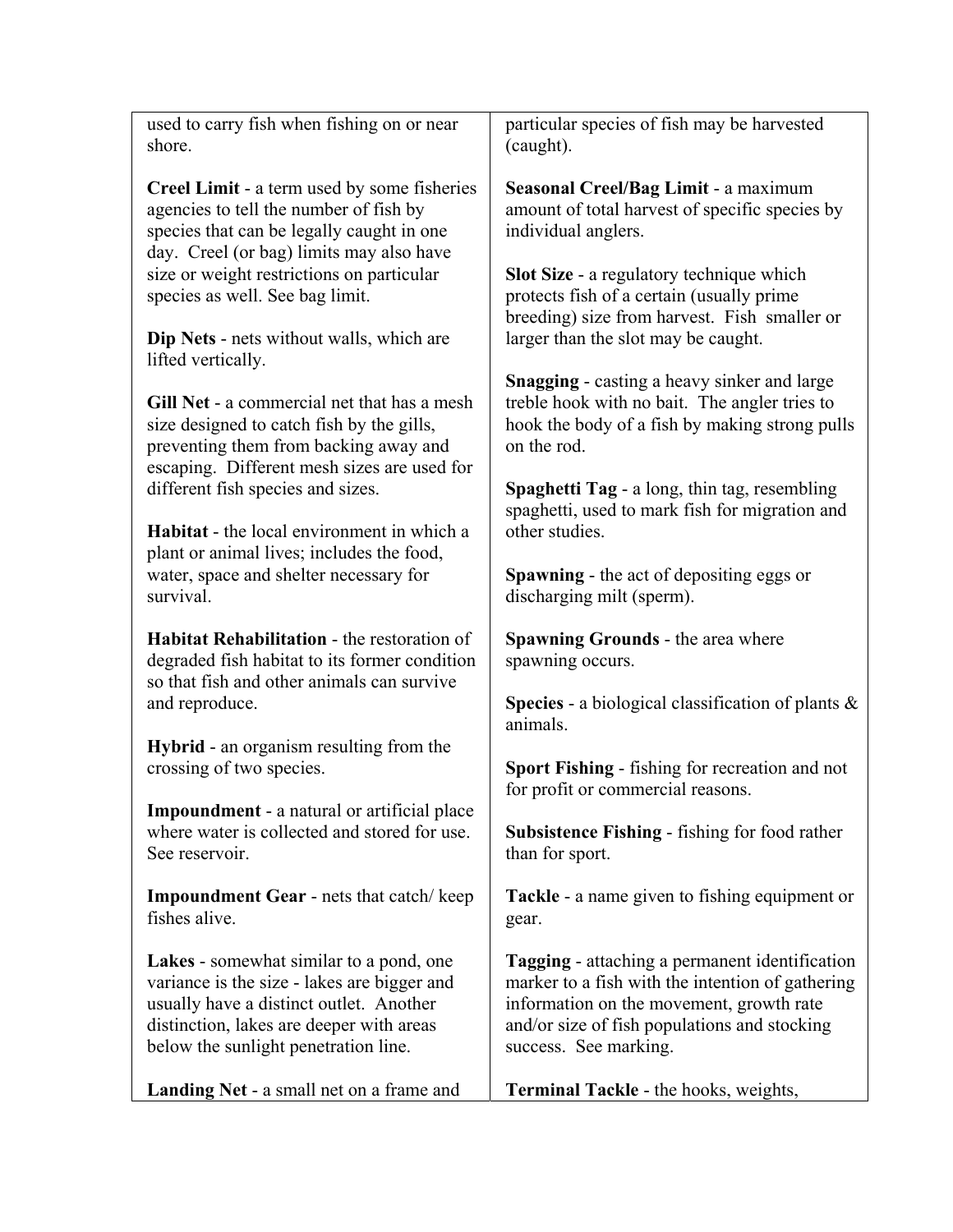| used to carry fish when fishing on or near                                                                                                                                                                                                                                                                                              | particular species of fish may be harvested                                                                                                                                                                                                                                                          |
|-----------------------------------------------------------------------------------------------------------------------------------------------------------------------------------------------------------------------------------------------------------------------------------------------------------------------------------------|------------------------------------------------------------------------------------------------------------------------------------------------------------------------------------------------------------------------------------------------------------------------------------------------------|
| shore.                                                                                                                                                                                                                                                                                                                                  | (caught).                                                                                                                                                                                                                                                                                            |
| <b>Creel Limit - a term used by some fisheries</b><br>agencies to tell the number of fish by<br>species that can be legally caught in one<br>day. Creel (or bag) limits may also have<br>size or weight restrictions on particular<br>species as well. See bag limit.<br>Dip Nets - nets without walls, which are<br>lifted vertically. | Seasonal Creel/Bag Limit - a maximum<br>amount of total harvest of specific species by<br>individual anglers.<br><b>Slot Size - a regulatory technique which</b><br>protects fish of a certain (usually prime<br>breeding) size from harvest. Fish smaller or<br>larger than the slot may be caught. |
| Gill Net - a commercial net that has a mesh                                                                                                                                                                                                                                                                                             | <b>Snagging</b> - casting a heavy sinker and large                                                                                                                                                                                                                                                   |
| size designed to catch fish by the gills,                                                                                                                                                                                                                                                                                               | treble hook with no bait. The angler tries to                                                                                                                                                                                                                                                        |
| preventing them from backing away and                                                                                                                                                                                                                                                                                                   | hook the body of a fish by making strong pulls                                                                                                                                                                                                                                                       |
| escaping. Different mesh sizes are used for                                                                                                                                                                                                                                                                                             | on the rod.                                                                                                                                                                                                                                                                                          |
| different fish species and sizes.                                                                                                                                                                                                                                                                                                       | <b>Spaghetti Tag</b> - a long, thin tag, resembling                                                                                                                                                                                                                                                  |
| Habitat - the local environment in which a                                                                                                                                                                                                                                                                                              | spaghetti, used to mark fish for migration and                                                                                                                                                                                                                                                       |
| plant or animal lives; includes the food,                                                                                                                                                                                                                                                                                               | other studies.                                                                                                                                                                                                                                                                                       |
| water, space and shelter necessary for                                                                                                                                                                                                                                                                                                  | <b>Spawning - the act of depositing eggs or</b>                                                                                                                                                                                                                                                      |
| survival.                                                                                                                                                                                                                                                                                                                               | discharging milt (sperm).                                                                                                                                                                                                                                                                            |
| <b>Habitat Rehabilitation - the restoration of</b>                                                                                                                                                                                                                                                                                      | <b>Spawning Grounds - the area where</b>                                                                                                                                                                                                                                                             |
| degraded fish habitat to its former condition                                                                                                                                                                                                                                                                                           | spawning occurs.                                                                                                                                                                                                                                                                                     |
| so that fish and other animals can survive                                                                                                                                                                                                                                                                                              | <b>Species</b> - a biological classification of plants $\&$                                                                                                                                                                                                                                          |
| and reproduce.                                                                                                                                                                                                                                                                                                                          | animals.                                                                                                                                                                                                                                                                                             |
| <b>Hybrid</b> - an organism resulting from the                                                                                                                                                                                                                                                                                          | Sport Fishing - fishing for recreation and not                                                                                                                                                                                                                                                       |
| crossing of two species.                                                                                                                                                                                                                                                                                                                | for profit or commercial reasons.                                                                                                                                                                                                                                                                    |
| <b>Impoundment</b> - a natural or artificial place<br>where water is collected and stored for use.<br>See reservoir.                                                                                                                                                                                                                    | <b>Subsistence Fishing - fishing for food rather</b><br>than for sport.                                                                                                                                                                                                                              |
| <b>Impoundment Gear</b> - nets that catch/keep                                                                                                                                                                                                                                                                                          | <b>Tackle</b> - a name given to fishing equipment or                                                                                                                                                                                                                                                 |
| fishes alive.                                                                                                                                                                                                                                                                                                                           | gear.                                                                                                                                                                                                                                                                                                |
| Lakes - somewhat similar to a pond, one                                                                                                                                                                                                                                                                                                 | <b>Tagging</b> - attaching a permanent identification                                                                                                                                                                                                                                                |
| variance is the size - lakes are bigger and                                                                                                                                                                                                                                                                                             | marker to a fish with the intention of gathering                                                                                                                                                                                                                                                     |
| usually have a distinct outlet. Another                                                                                                                                                                                                                                                                                                 | information on the movement, growth rate                                                                                                                                                                                                                                                             |
| distinction, lakes are deeper with areas                                                                                                                                                                                                                                                                                                | and/or size of fish populations and stocking                                                                                                                                                                                                                                                         |
| below the sunlight penetration line.                                                                                                                                                                                                                                                                                                    | success. See marking.                                                                                                                                                                                                                                                                                |
| <b>Landing Net - a small net on a frame and</b>                                                                                                                                                                                                                                                                                         | <b>Terminal Tackle - the hooks, weights,</b>                                                                                                                                                                                                                                                         |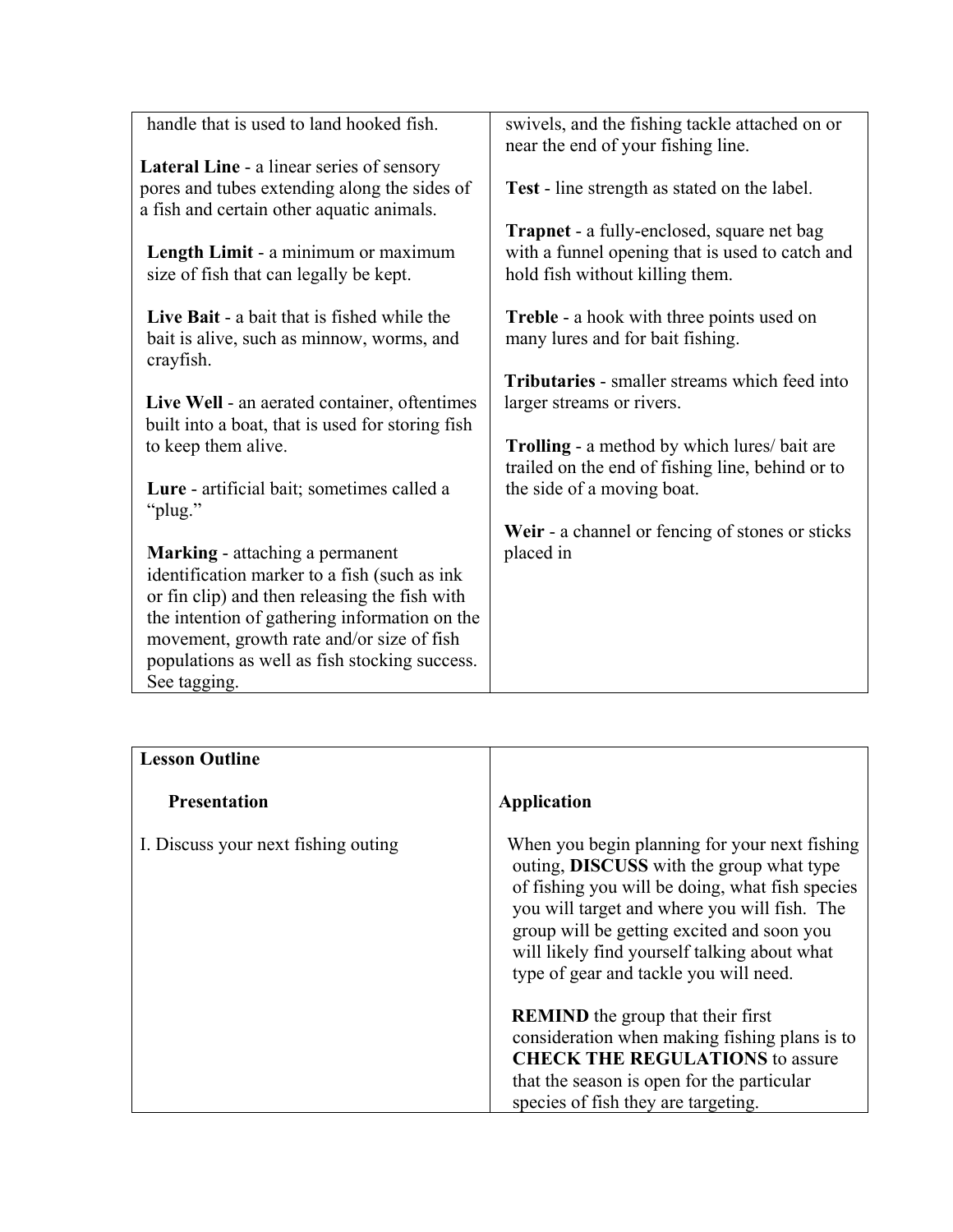| handle that is used to land hooked fish.                                                              | swivels, and the fishing tackle attached on or<br>near the end of your fishing line.                                                    |
|-------------------------------------------------------------------------------------------------------|-----------------------------------------------------------------------------------------------------------------------------------------|
| <b>Lateral Line - a linear series of sensory</b>                                                      |                                                                                                                                         |
| pores and tubes extending along the sides of                                                          | <b>Test</b> - line strength as stated on the label.                                                                                     |
| a fish and certain other aquatic animals.                                                             |                                                                                                                                         |
| Length Limit - a minimum or maximum<br>size of fish that can legally be kept.                         | <b>Trapnet</b> - a fully-enclosed, square net bag<br>with a funnel opening that is used to catch and<br>hold fish without killing them. |
| Live Bait - a bait that is fished while the<br>bait is alive, such as minnow, worms, and<br>crayfish. | <b>Treble</b> - a hook with three points used on<br>many lures and for bait fishing.                                                    |
|                                                                                                       | <b>Tributaries</b> - smaller streams which feed into                                                                                    |
| Live Well - an aerated container, oftentimes                                                          | larger streams or rivers.                                                                                                               |
| built into a boat, that is used for storing fish                                                      |                                                                                                                                         |
| to keep them alive.                                                                                   | <b>Trolling</b> - a method by which lures/ bait are                                                                                     |
|                                                                                                       | trailed on the end of fishing line, behind or to                                                                                        |
| Lure - artificial bait; sometimes called a                                                            | the side of a moving boat.                                                                                                              |
| "plug."                                                                                               |                                                                                                                                         |
| <b>Marking</b> - attaching a permanent                                                                | Weir - a channel or fencing of stones or sticks<br>placed in                                                                            |
| identification marker to a fish (such as ink                                                          |                                                                                                                                         |
| or fin clip) and then releasing the fish with                                                         |                                                                                                                                         |
| the intention of gathering information on the                                                         |                                                                                                                                         |
| movement, growth rate and/or size of fish                                                             |                                                                                                                                         |
| populations as well as fish stocking success.                                                         |                                                                                                                                         |
| See tagging.                                                                                          |                                                                                                                                         |

| <b>Lesson Outline</b>               |                                                                                                                                                                                                                                                                                                                                             |
|-------------------------------------|---------------------------------------------------------------------------------------------------------------------------------------------------------------------------------------------------------------------------------------------------------------------------------------------------------------------------------------------|
| <b>Presentation</b>                 | <b>Application</b>                                                                                                                                                                                                                                                                                                                          |
| I. Discuss your next fishing outing | When you begin planning for your next fishing<br>outing, <b>DISCUSS</b> with the group what type<br>of fishing you will be doing, what fish species<br>you will target and where you will fish. The<br>group will be getting excited and soon you<br>will likely find yourself talking about what<br>type of gear and tackle you will need. |
|                                     | <b>REMIND</b> the group that their first<br>consideration when making fishing plans is to<br><b>CHECK THE REGULATIONS to assure</b>                                                                                                                                                                                                         |
|                                     | that the season is open for the particular<br>species of fish they are targeting.                                                                                                                                                                                                                                                           |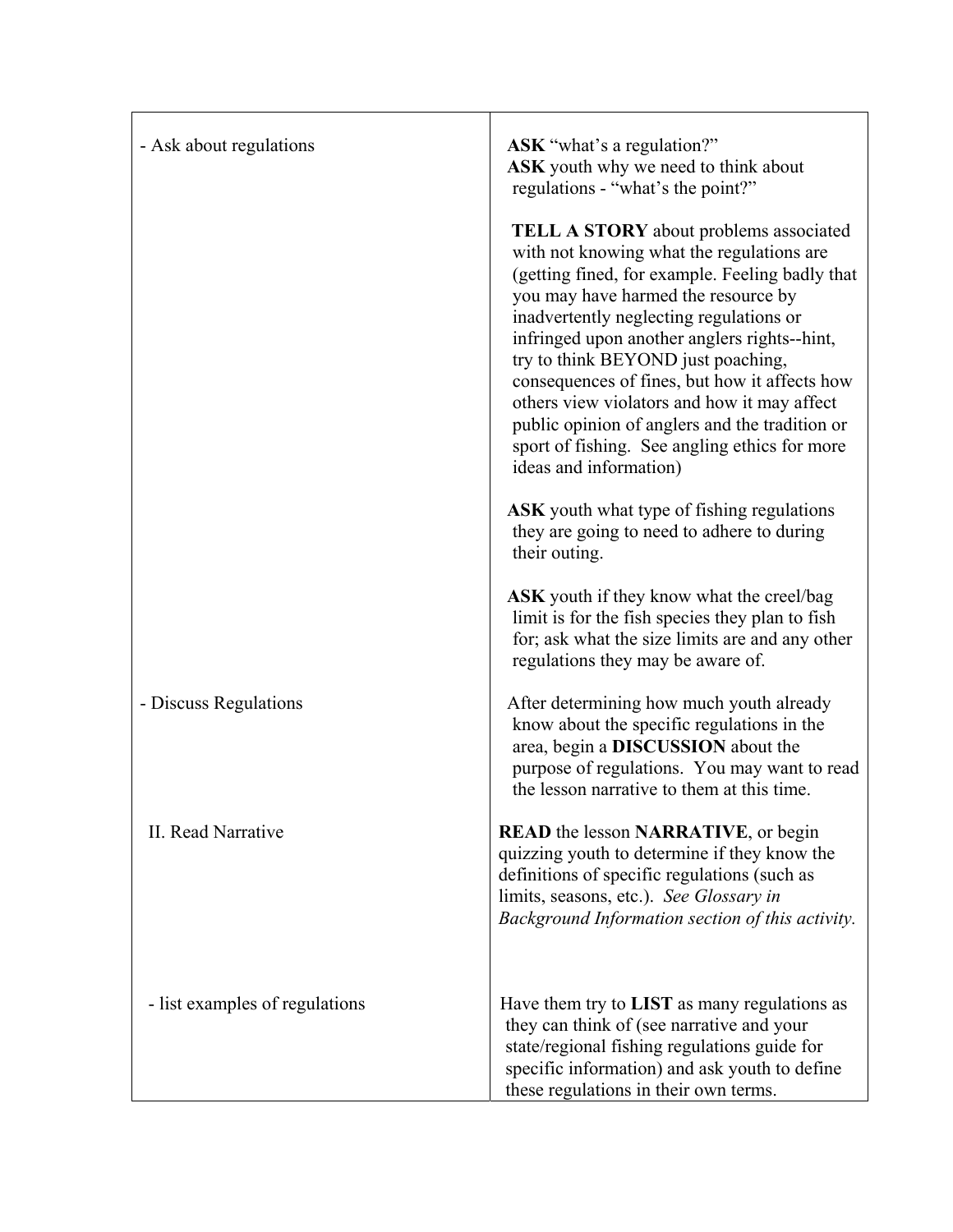| - Ask about regulations        | ASK "what's a regulation?"<br>ASK youth why we need to think about<br>regulations - "what's the point?"                                                                                                                                                                                                                                                                                                                                                                                                                                            |
|--------------------------------|----------------------------------------------------------------------------------------------------------------------------------------------------------------------------------------------------------------------------------------------------------------------------------------------------------------------------------------------------------------------------------------------------------------------------------------------------------------------------------------------------------------------------------------------------|
|                                | <b>TELL A STORY</b> about problems associated<br>with not knowing what the regulations are<br>(getting fined, for example. Feeling badly that<br>you may have harmed the resource by<br>inadvertently neglecting regulations or<br>infringed upon another anglers rights--hint,<br>try to think BEYOND just poaching,<br>consequences of fines, but how it affects how<br>others view violators and how it may affect<br>public opinion of anglers and the tradition or<br>sport of fishing. See angling ethics for more<br>ideas and information) |
|                                | <b>ASK</b> youth what type of fishing regulations<br>they are going to need to adhere to during<br>their outing.                                                                                                                                                                                                                                                                                                                                                                                                                                   |
|                                | <b>ASK</b> youth if they know what the creel/bag<br>limit is for the fish species they plan to fish<br>for; ask what the size limits are and any other<br>regulations they may be aware of.                                                                                                                                                                                                                                                                                                                                                        |
| - Discuss Regulations          | After determining how much youth already<br>know about the specific regulations in the<br>area, begin a DISCUSSION about the<br>purpose of regulations. You may want to read<br>the lesson narrative to them at this time.                                                                                                                                                                                                                                                                                                                         |
| II. Read Narrative             | <b>READ</b> the lesson <b>NARRATIVE</b> , or begin<br>quizzing youth to determine if they know the<br>definitions of specific regulations (such as<br>limits, seasons, etc.). See Glossary in<br>Background Information section of this activity.                                                                                                                                                                                                                                                                                                  |
| - list examples of regulations | Have them try to <b>LIST</b> as many regulations as<br>they can think of (see narrative and your<br>state/regional fishing regulations guide for<br>specific information) and ask youth to define<br>these regulations in their own terms.                                                                                                                                                                                                                                                                                                         |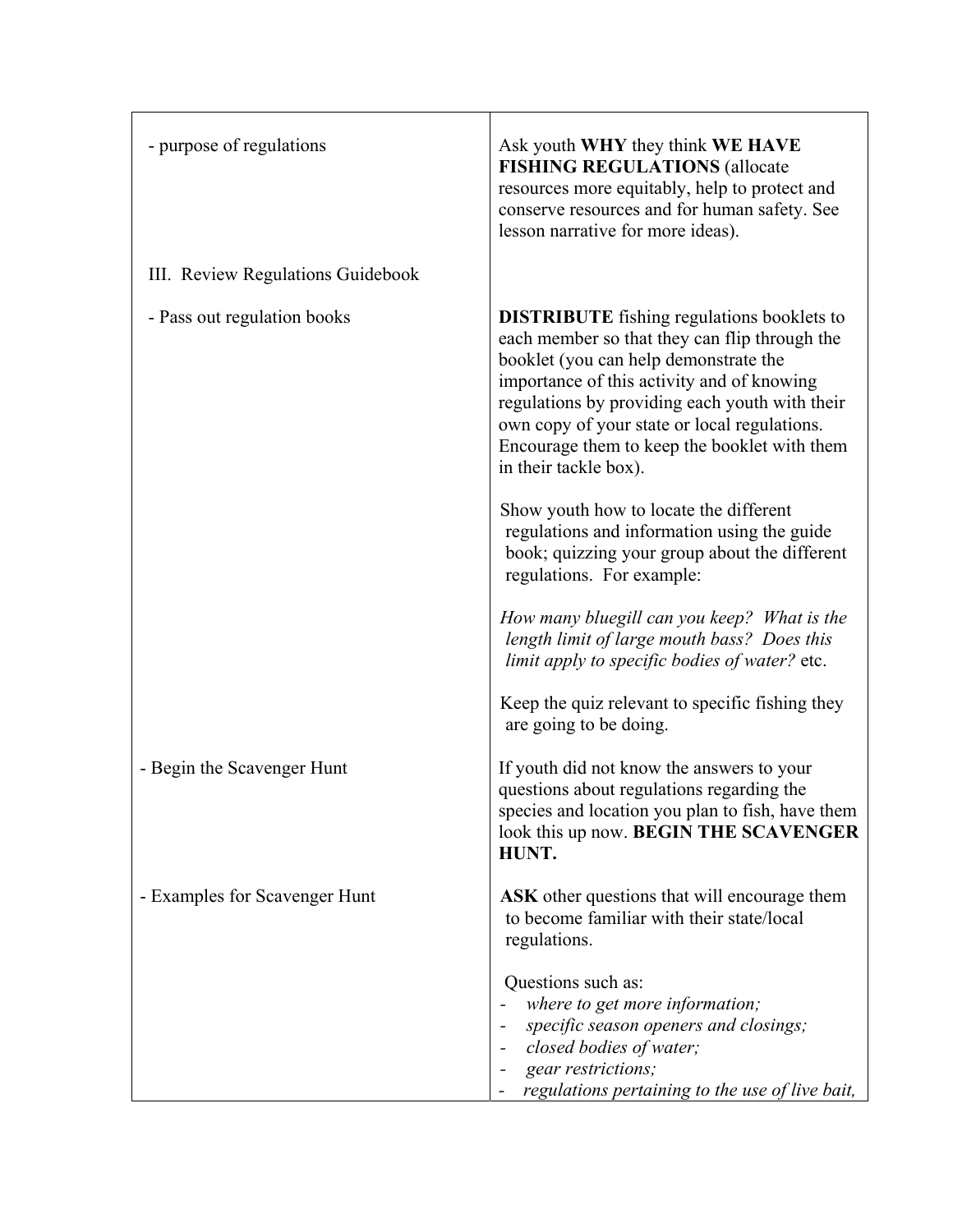| - purpose of regulations          | Ask youth WHY they think WE HAVE<br><b>FISHING REGULATIONS (allocate</b><br>resources more equitably, help to protect and<br>conserve resources and for human safety. See<br>lesson narrative for more ideas).                                                                                                                                                       |
|-----------------------------------|----------------------------------------------------------------------------------------------------------------------------------------------------------------------------------------------------------------------------------------------------------------------------------------------------------------------------------------------------------------------|
| III. Review Regulations Guidebook |                                                                                                                                                                                                                                                                                                                                                                      |
| - Pass out regulation books       | <b>DISTRIBUTE</b> fishing regulations booklets to<br>each member so that they can flip through the<br>booklet (you can help demonstrate the<br>importance of this activity and of knowing<br>regulations by providing each youth with their<br>own copy of your state or local regulations.<br>Encourage them to keep the booklet with them<br>in their tackle box). |
|                                   | Show youth how to locate the different<br>regulations and information using the guide<br>book; quizzing your group about the different<br>regulations. For example:                                                                                                                                                                                                  |
|                                   | How many bluegill can you keep? What is the<br>length limit of large mouth bass? Does this<br>limit apply to specific bodies of water? etc.                                                                                                                                                                                                                          |
|                                   | Keep the quiz relevant to specific fishing they<br>are going to be doing.                                                                                                                                                                                                                                                                                            |
| - Begin the Scavenger Hunt        | If youth did not know the answers to your<br>questions about regulations regarding the<br>species and location you plan to fish, have them<br>look this up now. BEGIN THE SCAVENGER<br>HUNT.                                                                                                                                                                         |
| - Examples for Scavenger Hunt     | ASK other questions that will encourage them<br>to become familiar with their state/local<br>regulations.                                                                                                                                                                                                                                                            |
|                                   | Questions such as:<br>where to get more information;<br>specific season openers and closings;<br>closed bodies of water;<br>gear restrictions;<br>regulations pertaining to the use of live bait,                                                                                                                                                                    |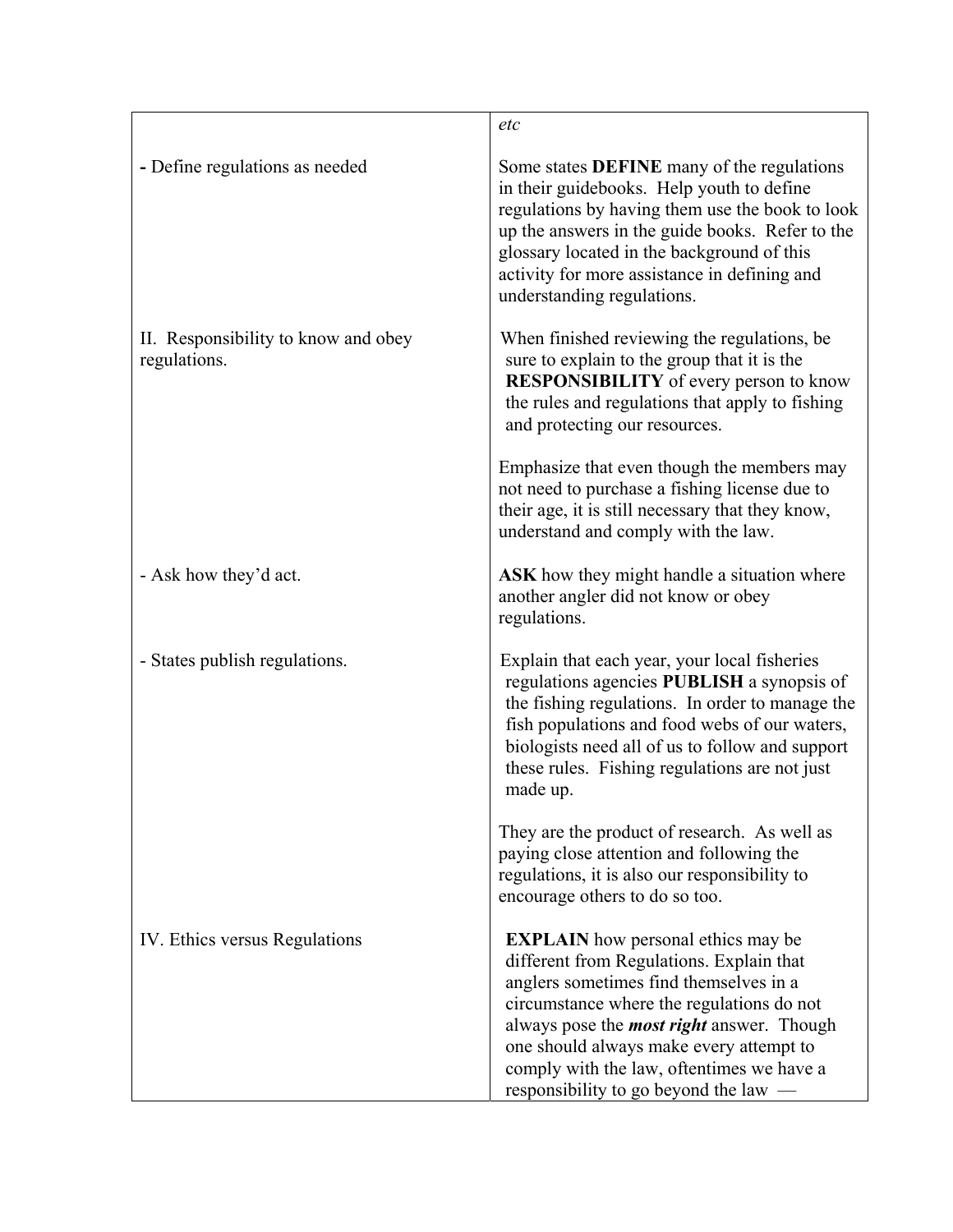|                                                     | etc                                                                                                                                                                                                                                                                                                                                                               |
|-----------------------------------------------------|-------------------------------------------------------------------------------------------------------------------------------------------------------------------------------------------------------------------------------------------------------------------------------------------------------------------------------------------------------------------|
| - Define regulations as needed                      | Some states <b>DEFINE</b> many of the regulations<br>in their guidebooks. Help youth to define<br>regulations by having them use the book to look<br>up the answers in the guide books. Refer to the<br>glossary located in the background of this<br>activity for more assistance in defining and<br>understanding regulations.                                  |
| II. Responsibility to know and obey<br>regulations. | When finished reviewing the regulations, be.<br>sure to explain to the group that it is the<br><b>RESPONSIBILITY</b> of every person to know<br>the rules and regulations that apply to fishing<br>and protecting our resources.                                                                                                                                  |
|                                                     | Emphasize that even though the members may<br>not need to purchase a fishing license due to<br>their age, it is still necessary that they know,<br>understand and comply with the law.                                                                                                                                                                            |
| - Ask how they'd act.                               | ASK how they might handle a situation where<br>another angler did not know or obey<br>regulations.                                                                                                                                                                                                                                                                |
| - States publish regulations.                       | Explain that each year, your local fisheries<br>regulations agencies PUBLISH a synopsis of<br>the fishing regulations. In order to manage the<br>fish populations and food webs of our waters,<br>biologists need all of us to follow and support<br>these rules. Fishing regulations are not just<br>made up.                                                    |
|                                                     | They are the product of research. As well as<br>paying close attention and following the<br>regulations, it is also our responsibility to<br>encourage others to do so too.                                                                                                                                                                                       |
| IV. Ethics versus Regulations                       | <b>EXPLAIN</b> how personal ethics may be<br>different from Regulations. Explain that<br>anglers sometimes find themselves in a<br>circumstance where the regulations do not<br>always pose the <i>most right</i> answer. Though<br>one should always make every attempt to<br>comply with the law, oftentimes we have a<br>responsibility to go beyond the law — |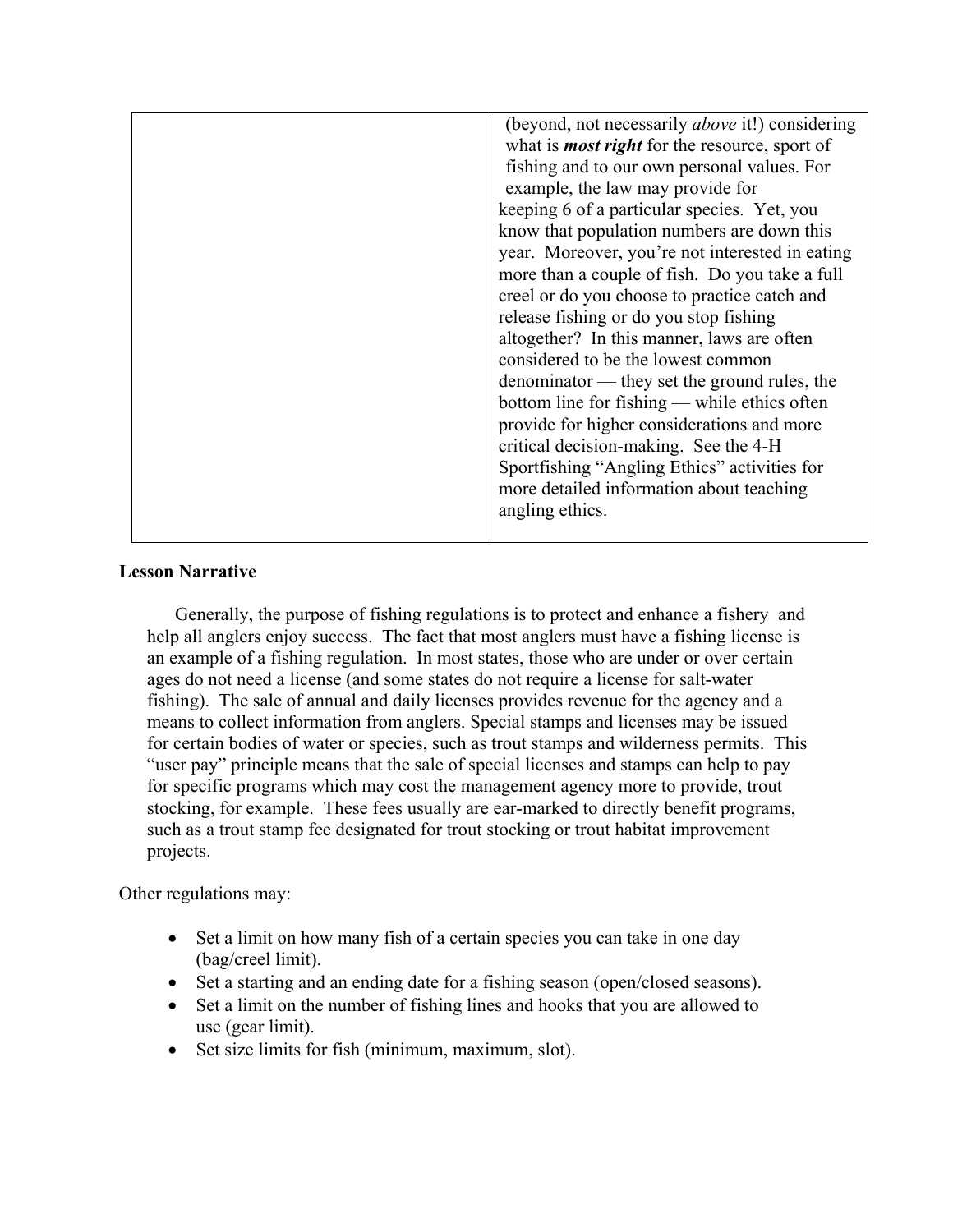| (beyond, not necessarily <i>above</i> it!) considering      |
|-------------------------------------------------------------|
| what is <b><i>most right</i></b> for the resource, sport of |
| fishing and to our own personal values. For                 |
| example, the law may provide for                            |
| keeping 6 of a particular species. Yet, you                 |
| know that population numbers are down this                  |
| year. Moreover, you're not interested in eating             |
| more than a couple of fish. Do you take a full              |
| creel or do you choose to practice catch and                |
| release fishing or do you stop fishing                      |
| altogether? In this manner, laws are often                  |
| considered to be the lowest common                          |
| denominator — they set the ground rules, the                |
| bottom line for fishing — while ethics often                |
| provide for higher considerations and more                  |
| critical decision-making. See the 4-H                       |
| Sportfishing "Angling Ethics" activities for                |
| more detailed information about teaching                    |
| angling ethics.                                             |
|                                                             |

#### **Lesson Narrative**

Generally, the purpose of fishing regulations is to protect and enhance a fishery and help all anglers enjoy success. The fact that most anglers must have a fishing license is an example of a fishing regulation. In most states, those who are under or over certain ages do not need a license (and some states do not require a license for salt-water fishing). The sale of annual and daily licenses provides revenue for the agency and a means to collect information from anglers. Special stamps and licenses may be issued for certain bodies of water or species, such as trout stamps and wilderness permits. This "user pay" principle means that the sale of special licenses and stamps can help to pay for specific programs which may cost the management agency more to provide, trout stocking, for example. These fees usually are ear-marked to directly benefit programs, such as a trout stamp fee designated for trout stocking or trout habitat improvement projects.

Other regulations may:

- Set a limit on how many fish of a certain species you can take in one day (bag/creel limit).
- Set a starting and an ending date for a fishing season (open/closed seasons).
- Set a limit on the number of fishing lines and hooks that you are allowed to use (gear limit).
- Set size limits for fish (minimum, maximum, slot).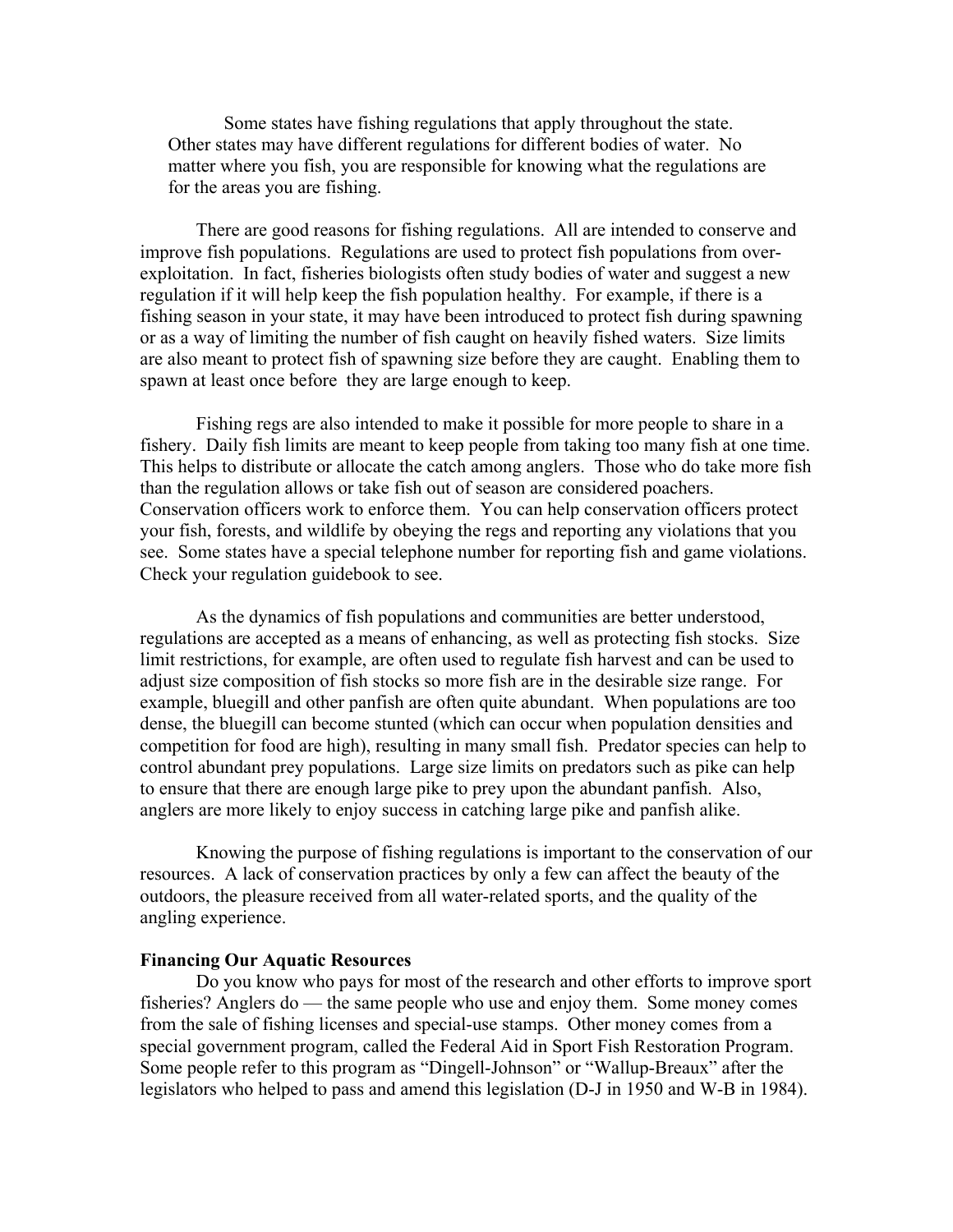Some states have fishing regulations that apply throughout the state. Other states may have different regulations for different bodies of water. No matter where you fish, you are responsible for knowing what the regulations are for the areas you are fishing.

There are good reasons for fishing regulations. All are intended to conserve and improve fish populations. Regulations are used to protect fish populations from overexploitation. In fact, fisheries biologists often study bodies of water and suggest a new regulation if it will help keep the fish population healthy. For example, if there is a fishing season in your state, it may have been introduced to protect fish during spawning or as a way of limiting the number of fish caught on heavily fished waters. Size limits are also meant to protect fish of spawning size before they are caught. Enabling them to spawn at least once before they are large enough to keep.

Fishing regs are also intended to make it possible for more people to share in a fishery. Daily fish limits are meant to keep people from taking too many fish at one time. This helps to distribute or allocate the catch among anglers. Those who do take more fish than the regulation allows or take fish out of season are considered poachers. Conservation officers work to enforce them. You can help conservation officers protect your fish, forests, and wildlife by obeying the regs and reporting any violations that you see. Some states have a special telephone number for reporting fish and game violations. Check your regulation guidebook to see.

As the dynamics of fish populations and communities are better understood, regulations are accepted as a means of enhancing, as well as protecting fish stocks. Size limit restrictions, for example, are often used to regulate fish harvest and can be used to adjust size composition of fish stocks so more fish are in the desirable size range. For example, bluegill and other panfish are often quite abundant. When populations are too dense, the bluegill can become stunted (which can occur when population densities and competition for food are high), resulting in many small fish. Predator species can help to control abundant prey populations. Large size limits on predators such as pike can help to ensure that there are enough large pike to prey upon the abundant panfish. Also, anglers are more likely to enjoy success in catching large pike and panfish alike.

Knowing the purpose of fishing regulations is important to the conservation of our resources. A lack of conservation practices by only a few can affect the beauty of the outdoors, the pleasure received from all water-related sports, and the quality of the angling experience.

#### **Financing Our Aquatic Resources**

Do you know who pays for most of the research and other efforts to improve sport fisheries? Anglers do — the same people who use and enjoy them. Some money comes from the sale of fishing licenses and special-use stamps. Other money comes from a special government program, called the Federal Aid in Sport Fish Restoration Program. Some people refer to this program as "Dingell-Johnson" or "Wallup-Breaux" after the legislators who helped to pass and amend this legislation (D-J in 1950 and W-B in 1984).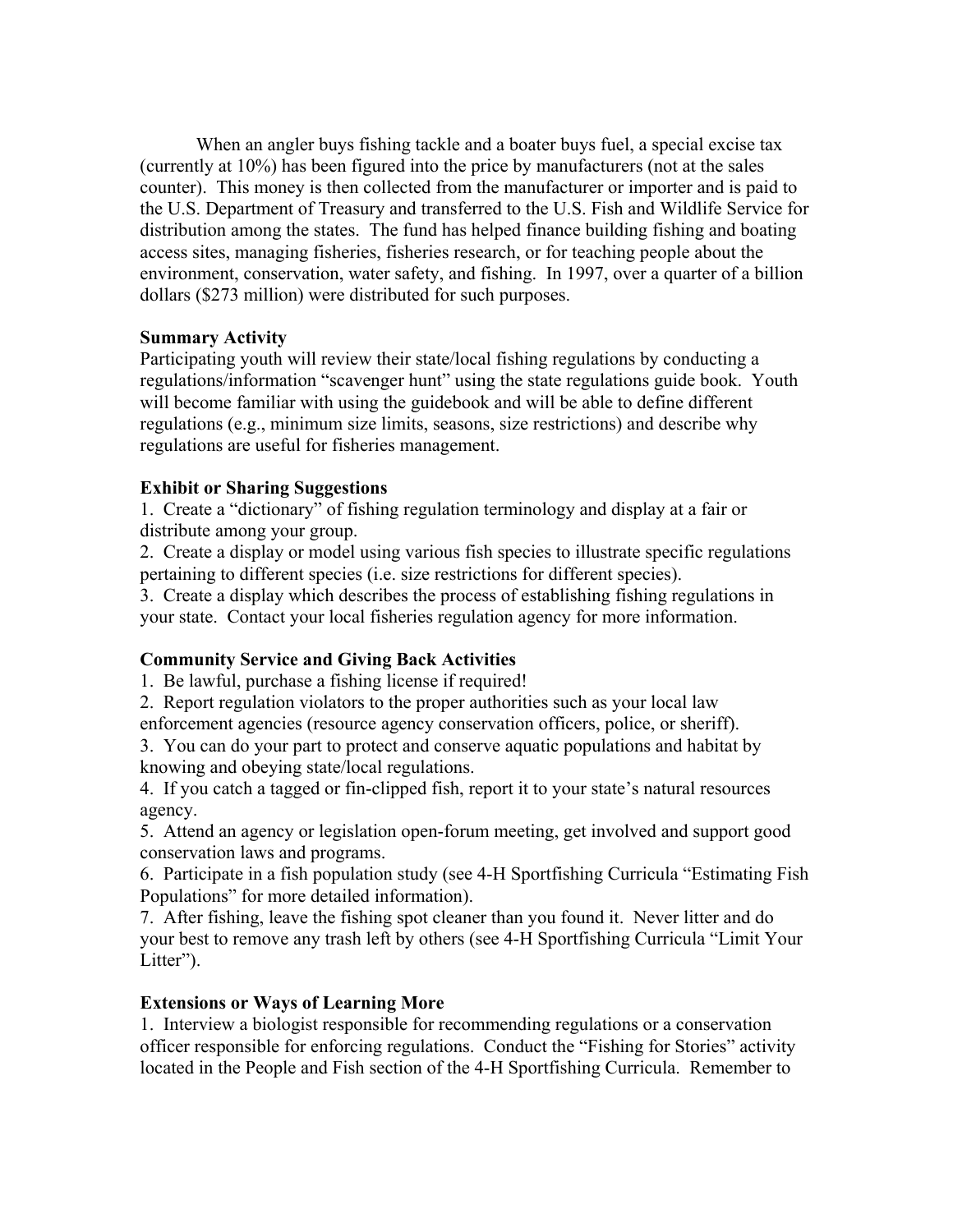When an angler buys fishing tackle and a boater buys fuel, a special excise tax (currently at 10%) has been figured into the price by manufacturers (not at the sales counter). This money is then collected from the manufacturer or importer and is paid to the U.S. Department of Treasury and transferred to the U.S. Fish and Wildlife Service for distribution among the states. The fund has helped finance building fishing and boating access sites, managing fisheries, fisheries research, or for teaching people about the environment, conservation, water safety, and fishing. In 1997, over a quarter of a billion dollars (\$273 million) were distributed for such purposes.

#### **Summary Activity**

Participating youth will review their state/local fishing regulations by conducting a regulations/information "scavenger hunt" using the state regulations guide book. Youth will become familiar with using the guidebook and will be able to define different regulations (e.g., minimum size limits, seasons, size restrictions) and describe why regulations are useful for fisheries management.

## **Exhibit or Sharing Suggestions**

1. Create a "dictionary" of fishing regulation terminology and display at a fair or distribute among your group.

2. Create a display or model using various fish species to illustrate specific regulations pertaining to different species (i.e. size restrictions for different species).

3. Create a display which describes the process of establishing fishing regulations in your state. Contact your local fisheries regulation agency for more information.

## **Community Service and Giving Back Activities**

1. Be lawful, purchase a fishing license if required!

2. Report regulation violators to the proper authorities such as your local law

enforcement agencies (resource agency conservation officers, police, or sheriff).

3. You can do your part to protect and conserve aquatic populations and habitat by knowing and obeying state/local regulations.

4. If you catch a tagged or fin-clipped fish, report it to your state's natural resources agency.

5. Attend an agency or legislation open-forum meeting, get involved and support good conservation laws and programs.

6. Participate in a fish population study (see 4-H Sportfishing Curricula "Estimating Fish Populations" for more detailed information).

7. After fishing, leave the fishing spot cleaner than you found it. Never litter and do your best to remove any trash left by others (see 4-H Sportfishing Curricula "Limit Your Litter").

## **Extensions or Ways of Learning More**

1. Interview a biologist responsible for recommending regulations or a conservation officer responsible for enforcing regulations. Conduct the "Fishing for Stories" activity located in the People and Fish section of the 4-H Sportfishing Curricula. Remember to